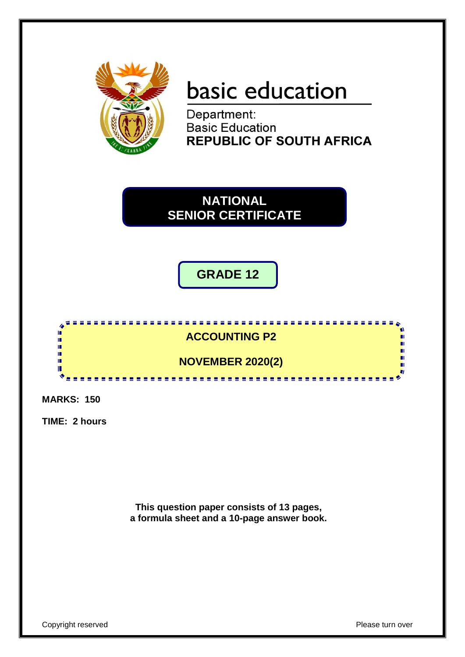

# basic education

Department: **Basic Education REPUBLIC OF SOUTH AFRICA** 



**GRADE 12**



**MARKS: 150**

**TIME: 2 hours**

**This question paper consists of 13 pages, a formula sheet and a 10-page answer book.**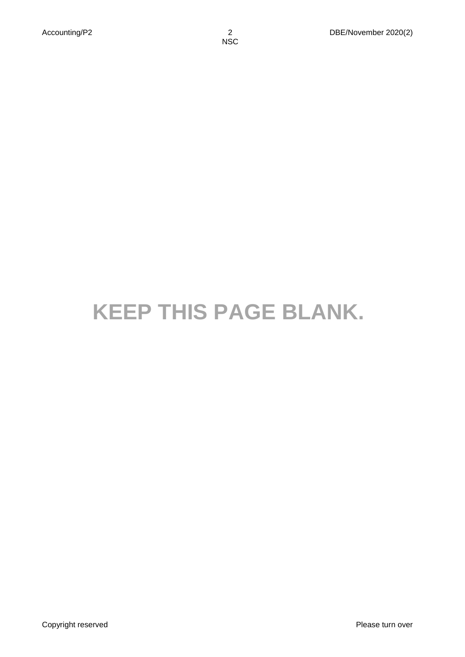# **KEEP THIS PAGE BLANK.**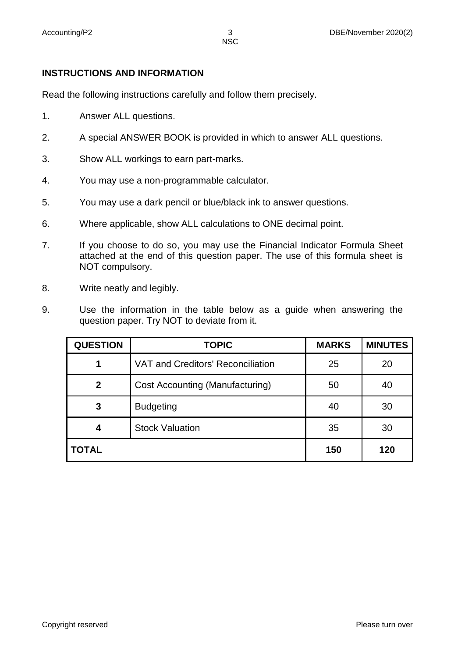# **INSTRUCTIONS AND INFORMATION**

Read the following instructions carefully and follow them precisely.

- 1. Answer ALL questions.
- 2. A special ANSWER BOOK is provided in which to answer ALL questions.
- 3. Show ALL workings to earn part-marks.
- 4. You may use a non-programmable calculator.
- 5. You may use a dark pencil or blue/black ink to answer questions.
- 6. Where applicable, show ALL calculations to ONE decimal point.
- 7. If you choose to do so, you may use the Financial Indicator Formula Sheet attached at the end of this question paper. The use of this formula sheet is NOT compulsory.
- 8. Write neatly and legibly.
- 9. Use the information in the table below as a guide when answering the question paper. Try NOT to deviate from it.

| <b>QUESTION</b> | <b>TOPIC</b>                             | <b>MARKS</b> | <b>MINUTES</b> |
|-----------------|------------------------------------------|--------------|----------------|
|                 | <b>VAT and Creditors' Reconciliation</b> | 25           | 20             |
| $\mathbf{2}$    | Cost Accounting (Manufacturing)          | 50           | 40             |
| 3               | <b>Budgeting</b>                         | 40           | 30             |
| 4               | <b>Stock Valuation</b>                   | 35           | 30             |
| <b>TOTAL</b>    |                                          | 150          | 120            |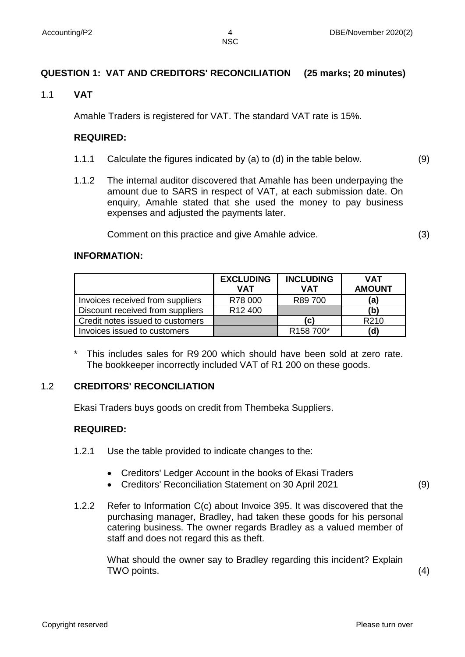# **QUESTION 1: VAT AND CREDITORS' RECONCILIATION (25 marks; 20 minutes)**

1.1 **VAT**

Amahle Traders is registered for VAT. The standard VAT rate is 15%.

#### **REQUIRED:**

- 1.1.1 Calculate the figures indicated by (a) to (d) in the table below. (9)
- 1.1.2 The internal auditor discovered that Amahle has been underpaying the amount due to SARS in respect of VAT, at each submission date. On enquiry, Amahle stated that she used the money to pay business expenses and adjusted the payments later.

Comment on this practice and give Amahle advice. (3)

#### **INFORMATION:**

|                                  | <b>EXCLUDING</b><br>VAT | <b>INCLUDING</b><br><b>VAT</b> | <b>VAT</b><br><b>AMOUNT</b> |
|----------------------------------|-------------------------|--------------------------------|-----------------------------|
| Invoices received from suppliers | R78 000                 | R89 700                        | (a)                         |
| Discount received from suppliers | R <sub>12</sub> 400     |                                | (b)                         |
| Credit notes issued to customers |                         | (C)                            | R210                        |
| Invoices issued to customers     |                         | R158 700*                      | (d)                         |

This includes sales for R9 200 which should have been sold at zero rate. The bookkeeper incorrectly included VAT of R1 200 on these goods.

# 1.2 **CREDITORS' RECONCILIATION**

Ekasi Traders buys goods on credit from Thembeka Suppliers.

#### **REQUIRED:**

- 1.2.1 Use the table provided to indicate changes to the:
	- Creditors' Ledger Account in the books of Ekasi Traders
	- Creditors' Reconciliation Statement on 30 April 2021 (9)

1.2.2 Refer to Information C(c) about Invoice 395. It was discovered that the purchasing manager, Bradley, had taken these goods for his personal catering business. The owner regards Bradley as a valued member of staff and does not regard this as theft.

What should the owner say to Bradley regarding this incident? Explain TWO points. (4)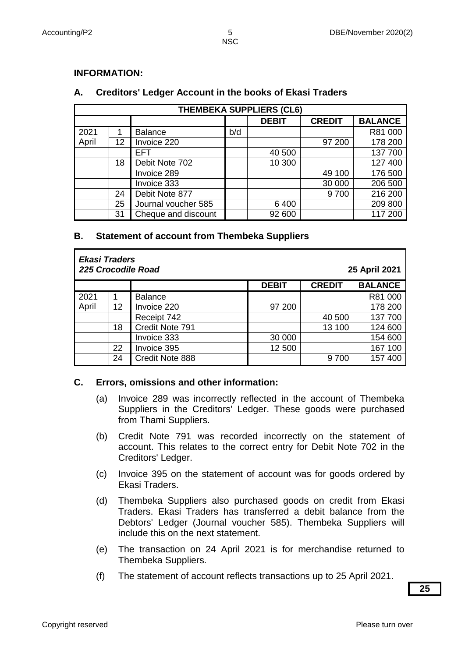### **INFORMATION:**

### **A. Creditors' Ledger Account in the books of Ekasi Traders**

| <b>THEMBEKA SUPPLIERS (CL6)</b> |    |                     |     |              |               |                |
|---------------------------------|----|---------------------|-----|--------------|---------------|----------------|
|                                 |    |                     |     | <b>DEBIT</b> | <b>CREDIT</b> | <b>BALANCE</b> |
| 2021                            |    | <b>Balance</b>      | b/d |              |               | R81 000        |
| April                           | 12 | Invoice 220         |     |              | 97 200        | 178 200        |
|                                 |    | <b>EFT</b>          |     | 40 500       |               | 137 700        |
|                                 | 18 | Debit Note 702      |     | 10 300       |               | 127 400        |
|                                 |    | Invoice 289         |     |              | 49 100        | 176 500        |
|                                 |    | Invoice 333         |     |              | 30 000        | 206 500        |
|                                 | 24 | Debit Note 877      |     |              | 9700          | 216 200        |
|                                 | 25 | Journal voucher 585 |     | 6400         |               | 209 800        |
|                                 | 31 | Cheque and discount |     | 92 600       |               | 117 200        |

#### **B. Statement of account from Thembeka Suppliers**

| <b>Ekasi Traders</b> |    | 225 Crocodile Road |              |               | 25 April 2021  |
|----------------------|----|--------------------|--------------|---------------|----------------|
|                      |    |                    | <b>DEBIT</b> | <b>CREDIT</b> | <b>BALANCE</b> |
| 2021                 |    | <b>Balance</b>     |              |               | R81 000        |
| April                | 12 | Invoice 220        | 97 200       |               | 178 200        |
|                      |    | Receipt 742        |              | 40 500        | 137 700        |
|                      | 18 | Credit Note 791    |              | 13 100        | 124 600        |
|                      |    | Invoice 333        | 30 000       |               | 154 600        |
|                      | 22 | Invoice 395        | 12 500       |               | 167 100        |
|                      | 24 | Credit Note 888    |              | 9700          | 157 400        |

#### **C. Errors, omissions and other information:**

- (a) Invoice 289 was incorrectly reflected in the account of Thembeka Suppliers in the Creditors' Ledger. These goods were purchased from Thami Suppliers.
- (b) Credit Note 791 was recorded incorrectly on the statement of account. This relates to the correct entry for Debit Note 702 in the Creditors' Ledger.
- (c) Invoice 395 on the statement of account was for goods ordered by Ekasi Traders.
- (d) Thembeka Suppliers also purchased goods on credit from Ekasi Traders. Ekasi Traders has transferred a debit balance from the Debtors' Ledger (Journal voucher 585). Thembeka Suppliers will include this on the next statement.
- (e) The transaction on 24 April 2021 is for merchandise returned to Thembeka Suppliers.
- (f) The statement of account reflects transactions up to 25 April 2021.

**25**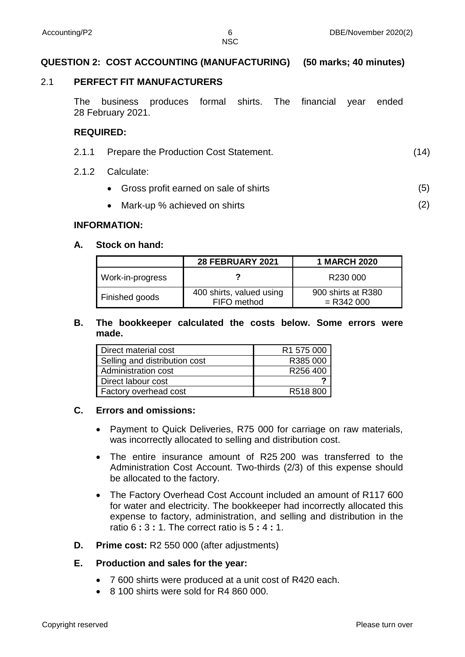#### **QUESTION 2: COST ACCOUNTING (MANUFACTURING) (50 marks; 40 minutes)**

#### 2.1 **PERFECT FIT MANUFACTURERS**

The business produces formal shirts. The financial year ended 28 February 2021.

#### **REQUIRED:**

|  | 2.1.1 Prepare the Production Cost Statement. | (14) |
|--|----------------------------------------------|------|
|--|----------------------------------------------|------|

- 2.1.2 Calculate:
	- Gross profit earned on sale of shirts (5)
	- Mark-up % achieved on shirts (2)

#### **INFORMATION:**

#### **A. Stock on hand:**

|                  | <b>28 FEBRUARY 2021</b>                 | <b>1 MARCH 2020</b>                |
|------------------|-----------------------------------------|------------------------------------|
| Work-in-progress |                                         | R230 000                           |
| Finished goods   | 400 shirts, valued using<br>FIFO method | 900 shirts at R380<br>$=$ R342 000 |

**B. The bookkeeper calculated the costs below. Some errors were made.** 

| Direct material cost          | R <sub>1</sub> 575 000 |
|-------------------------------|------------------------|
| Selling and distribution cost | R385 000               |
| Administration cost           | R <sub>256</sub> 400   |
| Direct labour cost            |                        |
| Factory overhead cost         | R518800                |

#### **C. Errors and omissions:**

- Payment to Quick Deliveries, R75 000 for carriage on raw materials, was incorrectly allocated to selling and distribution cost.
- The entire insurance amount of R25 200 was transferred to the Administration Cost Account. Two-thirds (2/3) of this expense should be allocated to the factory.
- The Factory Overhead Cost Account included an amount of R117 600 for water and electricity. The bookkeeper had incorrectly allocated this expense to factory, administration, and selling and distribution in the ratio 6 **:** 3 **:** 1. The correct ratio is 5 **:** 4 **:** 1.
- **D. Prime cost:** R2 550 000 (after adjustments)

#### **E. Production and sales for the year:**

- 7 600 shirts were produced at a unit cost of R420 each.
- 8 100 shirts were sold for R4 860 000.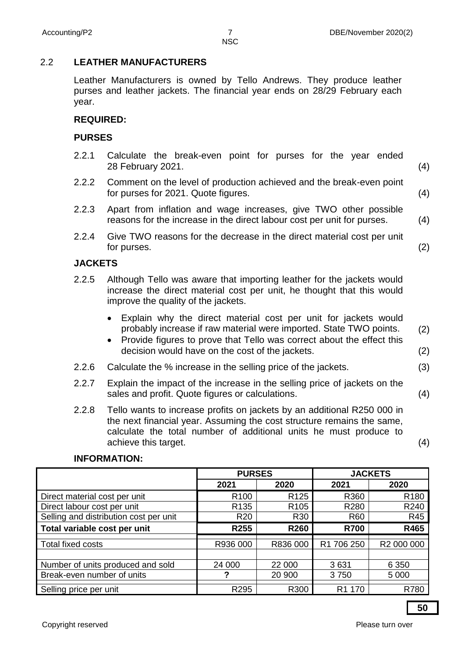# 2.2 **LEATHER MANUFACTURERS**

Leather Manufacturers is owned by Tello Andrews. They produce leather purses and leather jackets. The financial year ends on 28/29 February each year.

# **REQUIRED:**

# **PURSES**

- 2.2.1 Calculate the break-even point for purses for the year ended 28 February 2021. (4)
- 2.2.2 Comment on the level of production achieved and the break-even point for purses for 2021. Quote figures. (4)
- 2.2.3 Apart from inflation and wage increases, give TWO other possible reasons for the increase in the direct labour cost per unit for purses. (4)
- 2.2.4 Give TWO reasons for the decrease in the direct material cost per unit for purses. (2)

#### **JACKETS**

- 2.2.5 Although Tello was aware that importing leather for the jackets would increase the direct material cost per unit, he thought that this would improve the quality of the jackets.
	- Explain why the direct material cost per unit for jackets would probably increase if raw material were imported. State TWO points.
	- Provide figures to prove that Tello was correct about the effect this decision would have on the cost of the jackets. (2)
- 2.2.6 Calculate the % increase in the selling price of the jackets. (3)
- 2.2.7 Explain the impact of the increase in the selling price of jackets on the sales and profit. Quote figures or calculations. (4)
- 2.2.8 Tello wants to increase profits on jackets by an additional R250 000 in the next financial year. Assuming the cost structure remains the same, calculate the total number of additional units he must produce to achieve this target. (4)

### **INFORMATION:**

|                                        | <b>PURSES</b>    |                  |                    | <b>JACKETS</b>   |
|----------------------------------------|------------------|------------------|--------------------|------------------|
|                                        | 2021             | 2020             | 2021               | 2020             |
| Direct material cost per unit          | R <sub>100</sub> | R <sub>125</sub> | R360               | R <sub>180</sub> |
| Direct labour cost per unit            | R <sub>135</sub> | R <sub>105</sub> | R280               | R240             |
| Selling and distribution cost per unit | R <sub>20</sub>  | R <sub>30</sub>  | R <sub>60</sub>    | R45              |
| Total variable cost per unit           | R <sub>255</sub> | <b>R260</b>      | <b>R700</b>        | R465             |
| <b>Total fixed costs</b>               | R936 000         | R836 000         | R1 706 250         | R2 000 000       |
| Number of units produced and sold      | 24 000           | 22 000           | 3631               | 6 3 5 0          |
| Break-even number of units             | 7                | 20 900           | 3750               | 5 0 0 0          |
| Selling price per unit                 | R295             | R300             | R <sub>1</sub> 170 | R780             |

**50**

(2)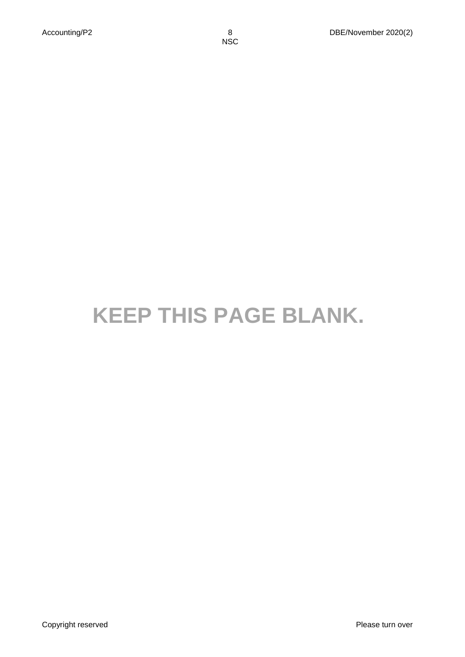# **KEEP THIS PAGE BLANK.**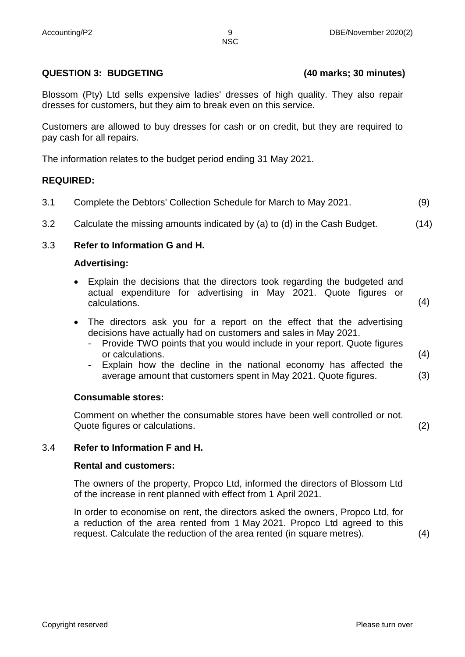#### **QUESTION 3: BUDGETING (40 marks; 30 minutes)**

Blossom (Pty) Ltd sells expensive ladies' dresses of high quality. They also repair dresses for customers, but they aim to break even on this service.

Customers are allowed to buy dresses for cash or on credit, but they are required to pay cash for all repairs.

The information relates to the budget period ending 31 May 2021.

#### **REQUIRED:**

- 3.1 Complete the Debtors' Collection Schedule for March to May 2021. (9)
- 3.2 Calculate the missing amounts indicated by (a) to (d) in the Cash Budget. (14)

#### 3.3 **Refer to Information G and H.**

#### **Advertising:**

- Explain the decisions that the directors took regarding the budgeted and actual expenditure for advertising in May 2021. Quote figures or calculations. (4)
- The directors ask you for a report on the effect that the advertising decisions have actually had on customers and sales in May 2021.
	- Provide TWO points that you would include in your report. Quote figures or calculations.
	- Explain how the decline in the national economy has affected the average amount that customers spent in May 2021. Quote figures. (3)

#### **Consumable stores:**

Comment on whether the consumable stores have been well controlled or not. Quote figures or calculations. (2)

#### 3.4 **Refer to Information F and H.**

#### **Rental and customers:**

The owners of the property, Propco Ltd, informed the directors of Blossom Ltd of the increase in rent planned with effect from 1 April 2021.

In order to economise on rent, the directors asked the owners, Propco Ltd, for a reduction of the area rented from 1 May 2021. Propco Ltd agreed to this request. Calculate the reduction of the area rented (in square metres). (4)

(4)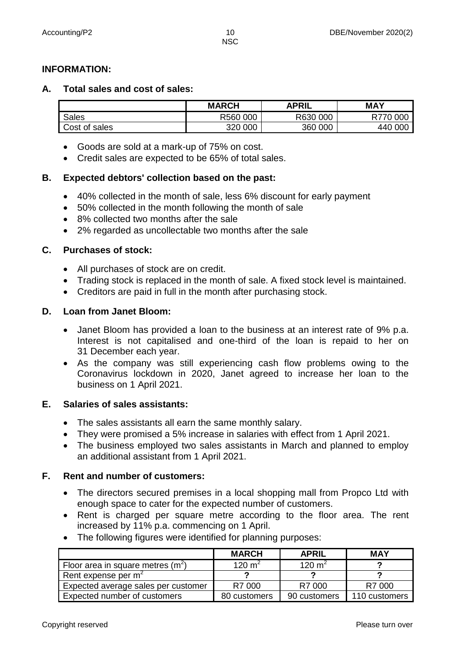# **INFORMATION:**

### **A. Total sales and cost of sales:**

|               | <b>MARCH</b> | <b>APRIL</b> | <b>MAY</b> |
|---------------|--------------|--------------|------------|
| Sales         | R560 000     | R630 000     | R770 000   |
| Cost of sales | 320 000      | 360 000      | 440 000    |

- Goods are sold at a mark-up of 75% on cost.
- Credit sales are expected to be 65% of total sales.

# **B. Expected debtors' collection based on the past:**

- 40% collected in the month of sale, less 6% discount for early payment
- 50% collected in the month following the month of sale
- 8% collected two months after the sale
- 2% regarded as uncollectable two months after the sale

# **C. Purchases of stock:**

- All purchases of stock are on credit.
- Trading stock is replaced in the month of sale. A fixed stock level is maintained.
- Creditors are paid in full in the month after purchasing stock.

# **D. Loan from Janet Bloom:**

- Janet Bloom has provided a loan to the business at an interest rate of 9% p.a. Interest is not capitalised and one-third of the loan is repaid to her on 31 December each year.
- As the company was still experiencing cash flow problems owing to the Coronavirus lockdown in 2020, Janet agreed to increase her loan to the business on 1 April 2021.

# **E. Salaries of sales assistants:**

- The sales assistants all earn the same monthly salary.
- They were promised a 5% increase in salaries with effect from 1 April 2021.
- The business employed two sales assistants in March and planned to employ an additional assistant from 1 April 2021.

# **F. Rent and number of customers:**

- The directors secured premises in a local shopping mall from Propco Ltd with enough space to cater for the expected number of customers.
- Rent is charged per square metre according to the floor area. The rent increased by 11% p.a. commencing on 1 April.

|                                     | <b>MARCH</b> | <b>APRIL</b> | <b>MAY</b>    |
|-------------------------------------|--------------|--------------|---------------|
| Floor area in square metres $(m2)$  | 120 $m2$     | 120 $m^2$    |               |
| Rent expense per m <sup>2</sup>     |              |              |               |
| Expected average sales per customer | R7 000       | R7 000       | R7 000        |
| Expected number of customers        | 80 customers | 90 customers | 110 customers |

• The following figures were identified for planning purposes: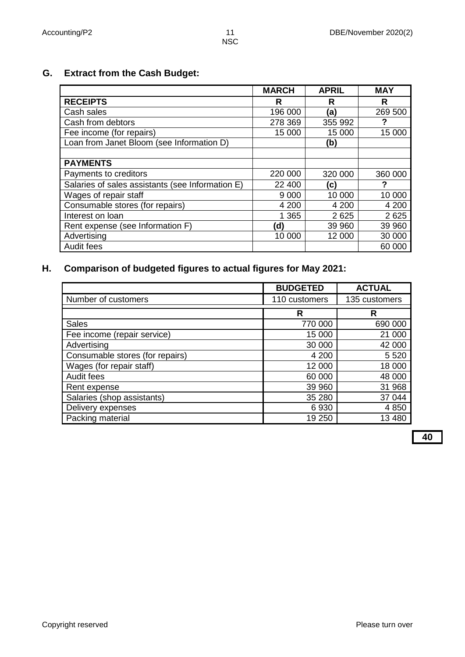# **G. Extract from the Cash Budget:**

|                                                  | <b>MARCH</b> | <b>APRIL</b> | <b>MAY</b> |
|--------------------------------------------------|--------------|--------------|------------|
| <b>RECEIPTS</b>                                  | R            | R            | R          |
| Cash sales                                       | 196 000      | (a)          | 269 500    |
| Cash from debtors                                | 278 369      | 355 992      | 7          |
| Fee income (for repairs)                         | 15 000       | 15 000       | 15 000     |
| Loan from Janet Bloom (see Information D)        |              | (b)          |            |
|                                                  |              |              |            |
| <b>PAYMENTS</b>                                  |              |              |            |
| Payments to creditors                            | 220 000      | 320 000      | 360 000    |
| Salaries of sales assistants (see Information E) | 22 400       | (c)          | ?          |
| Wages of repair staff                            | 9 0 0 0      | 10 000       | 10 000     |
| Consumable stores (for repairs)                  | 4 200        | 4 200        | 4 200      |
| Interest on loan                                 | 1 3 6 5      | 2625         | 2625       |
| Rent expense (see Information F)                 | (d)          | 39 960       | 39 960     |
| Advertising                                      | 10 000       | 12 000       | 30 000     |
| Audit fees                                       |              |              | 60 000     |

# **H. Comparison of budgeted figures to actual figures for May 2021:**

|                                 | <b>BUDGETED</b> | <b>ACTUAL</b> |
|---------------------------------|-----------------|---------------|
| Number of customers             | 110 customers   | 135 customers |
|                                 | R               | R             |
| <b>Sales</b>                    | 770 000         | 690 000       |
| Fee income (repair service)     | 15 000          | 21 000        |
| Advertising                     | 30 000          | 42 000        |
| Consumable stores (for repairs) | 4 200           | 5 5 20        |
| Wages (for repair staff)        | 12 000          | 18 000        |
| Audit fees                      | 60 000          | 48 000        |
| Rent expense                    | 39 960          | 31 968        |
| Salaries (shop assistants)      | 35 280          | 37 044        |
| Delivery expenses               | 6930            | 4 8 5 0       |
| Packing material                | 19 250          | 13 4 8 0      |

**40**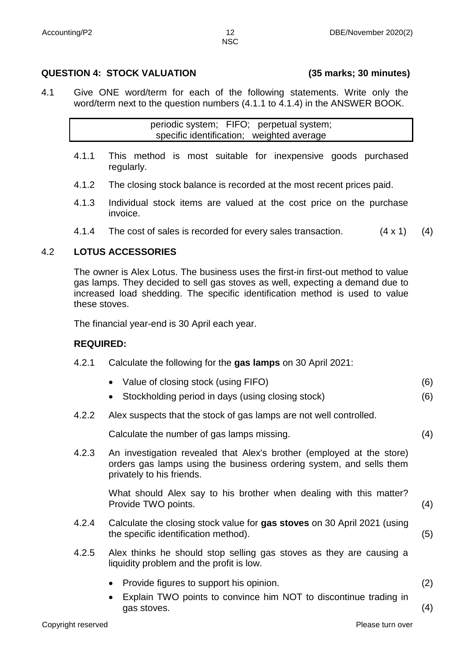# **QUESTION 4: STOCK VALUATION (35 marks; 30 minutes)**

4.1 Give ONE word/term for each of the following statements. Write only the word/term next to the question numbers (4.1.1 to 4.1.4) in the ANSWER BOOK.

| periodic system; FIFO; perpetual system; |                                           |  |
|------------------------------------------|-------------------------------------------|--|
|                                          | specific identification; weighted average |  |

- 4.1.1 This method is most suitable for inexpensive goods purchased regularly.
- 4.1.2 The closing stock balance is recorded at the most recent prices paid.
- 4.1.3 Individual stock items are valued at the cost price on the purchase invoice.
- 4.1.4 The cost of sales is recorded for every sales transaction. (4 x 1) (4)

#### 4.2 **LOTUS ACCESSORIES**

The owner is Alex Lotus. The business uses the first-in first-out method to value gas lamps. They decided to sell gas stoves as well, expecting a demand due to increased load shedding. The specific identification method is used to value these stoves.

The financial year-end is 30 April each year.

#### **REQUIRED:**

4.2.1 Calculate the following for the **gas lamps** on 30 April 2021:

| Value of closing stock (using FIFO) |  |
|-------------------------------------|--|
|                                     |  |

- Stockholding period in days (using closing stock) (6)
- 4.2.2 Alex suspects that the stock of gas lamps are not well controlled.

Calculate the number of gas lamps missing. (4)

4.2.3 An investigation revealed that Alex's brother (employed at the store) orders gas lamps using the business ordering system, and sells them privately to his friends.

> What should Alex say to his brother when dealing with this matter? Provide TWO points. (4)

- 4.2.4 Calculate the closing stock value for **gas stoves** on 30 April 2021 (using the specific identification method). (5)
- 4.2.5 Alex thinks he should stop selling gas stoves as they are causing a liquidity problem and the profit is low.
	- Provide figures to support his opinion.
	- Explain TWO points to convince him NOT to discontinue trading in gas stoves. (4)

(2)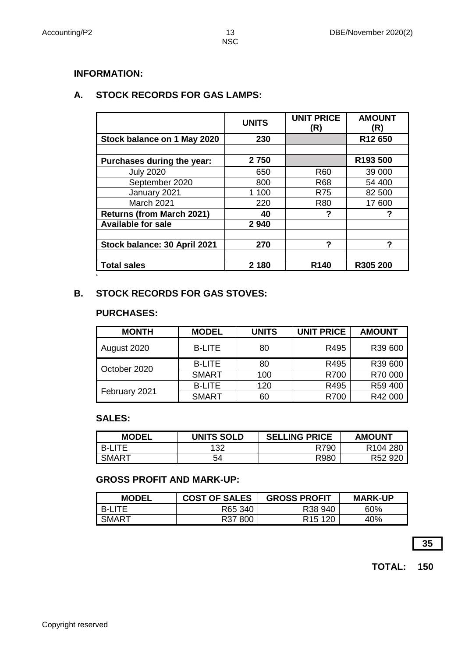# **INFORMATION:**

# **A. STOCK RECORDS FOR GAS LAMPS:**

|                                  | <b>UNITS</b> | <b>UNIT PRICE</b><br>(R) | <b>AMOUNT</b><br>(R) |
|----------------------------------|--------------|--------------------------|----------------------|
| Stock balance on 1 May 2020      | 230          |                          | R12 650              |
|                                  |              |                          |                      |
| Purchases during the year:       | 2750         |                          | R193 500             |
| <b>July 2020</b>                 | 650          | R <sub>60</sub>          | 39 000               |
| September 2020                   | 800          | R <sub>68</sub>          | 54 400               |
| January 2021                     | 1 100        | <b>R75</b>               | 82 500               |
| <b>March 2021</b>                | 220          | <b>R80</b>               | 17 600               |
| <b>Returns (from March 2021)</b> | 40           | ?                        |                      |
| <b>Available for sale</b>        | 2940         |                          |                      |
| Stock balance: 30 April 2021     | 270          | ?                        | ?                    |
| <b>Total sales</b>               | 2 1 8 0      | R <sub>140</sub>         | R305 200             |

# **B. STOCK RECORDS FOR GAS STOVES:**

# **PURCHASES:**

| <b>MONTH</b>  | <b>MODEL</b>  | <b>UNITS</b> | <b>UNIT PRICE</b> | <b>AMOUNT</b> |
|---------------|---------------|--------------|-------------------|---------------|
| August 2020   | <b>B-LITE</b> | 80           | R495              | R39 600       |
|               | <b>B-LITE</b> | 80           | R495              | R39 600       |
| October 2020  | <b>SMART</b>  | 100          | R700              | R70 000       |
|               | <b>B-LITE</b> | 120          | R495              | R59 400       |
| February 2021 | <b>SMART</b>  | 60           | R700              | R42 000       |

### **SALES:**

| <b>MODEL</b>  | <b>UNITS SOLD</b> | <b>SELLING PRICE</b> | <b>AMOUNT</b>        |
|---------------|-------------------|----------------------|----------------------|
| <b>B-LITE</b> | 132               | R790                 | R <sub>104</sub> 280 |
| <b>SMART</b>  | 54                | R980                 | R <sub>52</sub> 920  |

### **GROSS PROFIT AND MARK-UP:**

| <b>MODEL</b> | <b>COST OF SALES</b> | <b>GROSS PROFIT</b> | <b>MARK-UP</b> |
|--------------|----------------------|---------------------|----------------|
| B-LITE       | R65 340              | R <sub>38</sub> 940 | 60%            |
| <b>SMART</b> | R37 800              | R <sub>15</sub> 120 | 40%            |

**35**

**TOTAL: 150**